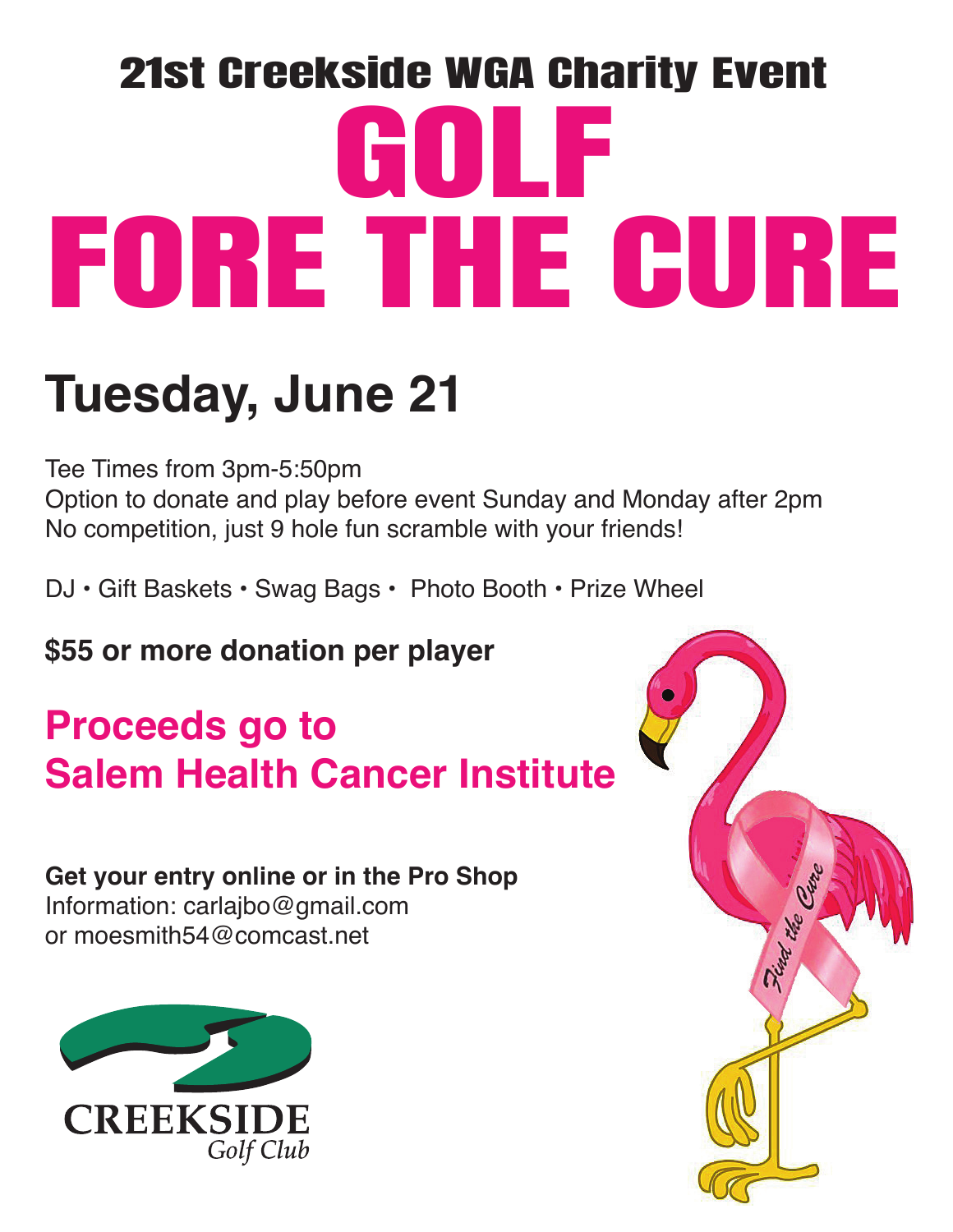# 21st Creekside WGA Charity Event GOLF FORE THE CURE

## **Tuesday, June 21**

Tee Times from 3pm-5:50pm

Option to donate and play before event Sunday and Monday after 2pm No competition, just 9 hole fun scramble with your friends!

DJ • Gift Baskets • Swag Bags • Photo Booth • Prize Wheel

**\$55 or more donation per player** 

## **Proceeds go to Salem Health Cancer Institute**

## **Get your entry online or in the Pro Shop**

Information: carlajbo@gmail.com or moesmith54@comcast net



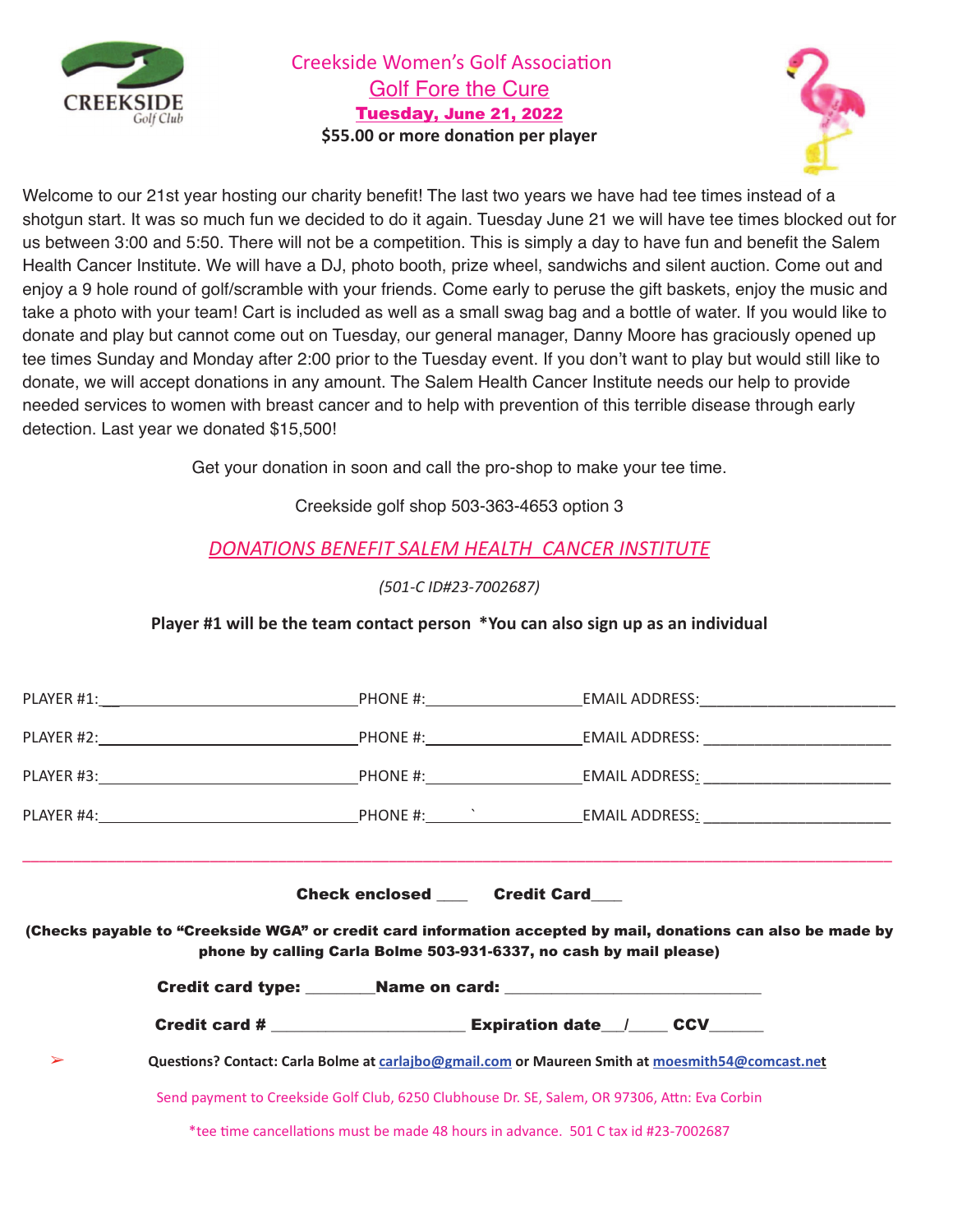

Creekside Women's Golf Association Golf Fore the Cure Tuesday, June 21, 2022 \$55.00 or more donation per player



Welcome to our 21st year hosting our charity benefit! The last two years we have had tee times instead of a shotgun start. It was so much fun we decided to do it again. Tuesday June 21 we will have tee times blocked out for us between 3:00 and 5:50. There will not be a competition. This is simply a day to have fun and benefit the Salem Health Cancer Institute. We will have a DJ, photo booth, prize wheel, sandwichs and silent auction. Come out and enjoy a 9 hole round of golf/scramble with your friends. Come early to peruse the gift baskets, enjoy the music and take a photo with your team! Cart is included as well as a small swag bag and a bottle of water. If you would like to donate and play but cannot come out on Tuesday, our general manager, Danny Moore has graciously opened up tee times Sunday and Monday after 2:00 prior to the Tuesday event. If you don't want to play but would still like to donate, we will accept donations in any amount. The Salem Health Cancer Institute needs our help to provide needed services to women with breast cancer and to help with prevention of this terrible disease through early detection. Last year we donated \$15,500!

Get your donation in soon and call the pro-shop to make your tee time.

Creekside golf shop 503-363-4653 option 3

#### **DONATIONS BENEFIT SALEM HEALTH CANCER INSTITUTE**

*23456/(&!7896:448;<:=*

Player #1 will be the team contact person \*You can also sign up as an individual

|   |                                                                                                  | Check enclosed _____ Credit Card                                   |                                                                                                               |
|---|--------------------------------------------------------------------------------------------------|--------------------------------------------------------------------|---------------------------------------------------------------------------------------------------------------|
|   |                                                                                                  | phone by calling Carla Bolme 503-931-6337, no cash by mail please) | (Checks payable to "Creekside WGA" or credit card information accepted by mail, donations can also be made by |
|   |                                                                                                  |                                                                    |                                                                                                               |
|   |                                                                                                  |                                                                    |                                                                                                               |
| ➤ |                                                                                                  |                                                                    |                                                                                                               |
|   | Questions? Contact: Carla Bolme at carlajbo@gmail.com or Maureen Smith at moesmith54@comcast.net |                                                                    |                                                                                                               |
|   | Send payment to Creekside Golf Club, 6250 Clubhouse Dr. SE, Salem, OR 97306, Attn: Eva Corbin    |                                                                    |                                                                                                               |